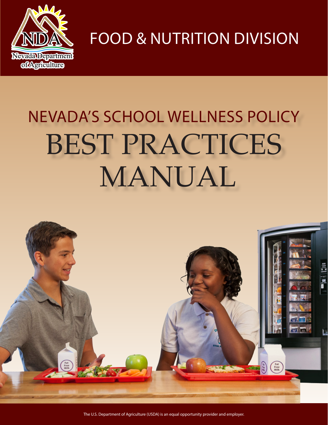

**FOOD & NUTRITION DIVISION** 

# NEVADA'S SCHOOL WELLNESS POLICY BEST PRACTICES MANUAL



The U.S. Department of Agriculture (USDA) is an equal opportunity provider and employer.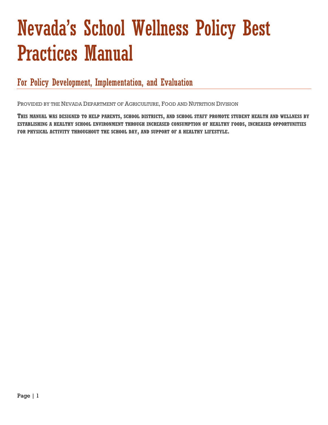## Nevada's School Wellness Policy Best Practices Manual

For Policy Development, Implementation, and Evaluation

PROVIDED BY THE NEVADA DEPARTMENT OF AGRICULTURE, FOOD AND NUTRITION DIVISION

**THIS MANUAL WAS DESIGNED TO HELP PARENTS, SCHOOL DISTRICTS, AND SCHOOL STAFF PROMOTE STUDENT HEALTH AND WELLNESS BY ESTABLISHING A HEALTHY SCHOOL ENVIRONMENT THROUGH INCREASED CONSUMPTION OF HEALTHY FOODS, INCREASED OPPORTUNITIES FOR PHYSICAL ACTIVITY THROUGHOUT THE SCHOOL DAY, AND SUPPORT OF A HEALTHY LIFESTYLE.**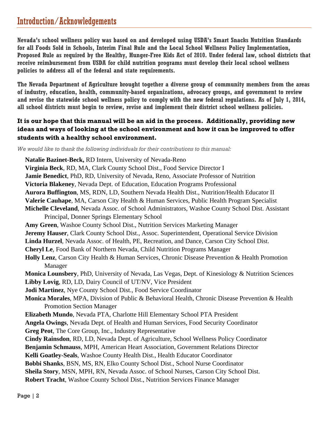### Introduction/Acknowledgements

**Nevada's school wellness policy was based on and developed using USDA's Smart Snacks Nutrition Standards for all Foods Sold in Schools, Interim Final Rule and the Local School Wellness Policy Implementation, Proposed Rule as required by the Healthy, Hunger-Free Kids Act of 2010. Under federal law, school districts that receive reimbursement from USDA for child nutrition programs must develop their local school wellness policies to address all of the federal and state requirements.** 

**The Nevada Department of Agriculture brought together a diverse group of community members from the areas of industry, education, health, community-based organizations, advocacy groups, and government to review and revise the statewide school wellness policy to comply with the new federal regulations. As of July 1, 2014, all school districts must begin to review, revise and implement their district school wellness policies.** 

### **It is our hope that this manual will be an aid in the process. Additionally, providing new ideas and ways of looking at the school environment and how it can be improved to offer students with a healthy school environment.**

*We would like to thank the following individuals for their contributions to this manual:* 

**Natalie Bazinet-Beck,** RD Intern, University of Nevada-Reno **Virginia Beck**, RD, MA, Clark County School Dist., Food Service Director I **Jamie Benedict**, PhD, RD, University of Nevada, Reno, Associate Professor of Nutrition **Victoria Blakeney**, Nevada Dept. of Education, Education Programs Professional **Aurora Buffington**, MS, RDN, LD, Southern Nevada Health Dist., Nutrition/Health Educator II **Valerie Cauhape**, MA, Carson City Health & Human Services, Public Health Program Specialist **Michelle Cleveland**, Nevada Assoc. of School Administrators, Washoe County School Dist. Assistant Principal, Donner Springs Elementary School **Amy Green**, Washoe County School Dist., Nutrition Services Marketing Manager **Jeremy Hauser**, Clark County School Dist., Assoc. Superintendent, Operational Service Division **Linda Hurzel**, Nevada Assoc. of Health, PE, Recreation, and Dance, Carson City School Dist. **Cheryl Le**, Food Bank of Northern Nevada, Child Nutrition Programs Manager **Holly Lenz**, Carson City Health & Human Services, Chronic Disease Prevention & Health Promotion Manager **Monica Lounsbery**, PhD, University of Nevada, Las Vegas, Dept. of Kinesiology & Nutrition Sciences **Libby Lovig**, RD, LD, Dairy Council of UT/NV, Vice President **Jodi Martinez**, Nye County School Dist., Food Service Coordinator **Monica Morales**, MPA, Division of Public & Behavioral Health, Chronic Disease Prevention & Health Promotion Section Manager **Elizabeth Mundo**, Nevada PTA, Charlotte Hill Elementary School PTA President **Angela Owings**, Nevada Dept. of Health and Human Services, Food Security Coordinator **Greg Peot**, The Core Group, Inc., Industry Representative **Cindy Rainsdon**, RD, LD, Nevada Dept. of Agriculture, School Wellness Policy Coordinator **Benjamin Schmauss**, MPH, American Heart Association, Government Relations Director **Kelli Goatley-Seals**, Washoe County Health Dist., Health Educator Coordinator **Bobbi Shanks**, BSN, MS, RN, Elko County School Dist., School Nurse Coordinator **Sheila Story**, MSN, MPH, RN, Nevada Assoc. of School Nurses, Carson City School Dist.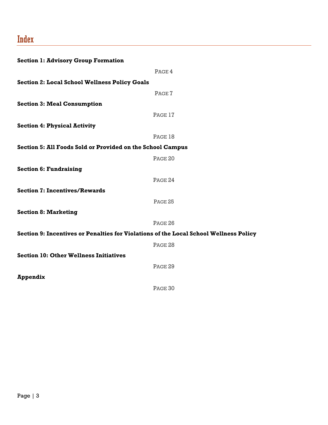### Index

| <b>Section 1: Advisory Group Formation</b>                 |                                                                                       |
|------------------------------------------------------------|---------------------------------------------------------------------------------------|
|                                                            | PAGE 4                                                                                |
| <b>Section 2: Local School Wellness Policy Goals</b>       |                                                                                       |
|                                                            | PAGE 7                                                                                |
| <b>Section 3: Meal Consumption</b>                         |                                                                                       |
|                                                            | PAGE 17                                                                               |
| <b>Section 4: Physical Activity</b>                        |                                                                                       |
|                                                            | PAGE 18                                                                               |
| Section 5: All Foods Sold or Provided on the School Campus |                                                                                       |
|                                                            | PAGE <sub>20</sub>                                                                    |
| <b>Section 6: Fundraising</b>                              |                                                                                       |
|                                                            | PAGE 24                                                                               |
| <b>Section 7: Incentives/Rewards</b>                       |                                                                                       |
|                                                            | PAGE 25                                                                               |
| <b>Section 8: Marketing</b>                                |                                                                                       |
|                                                            | PAGE 26                                                                               |
|                                                            | Section 9: Incentives or Penalties for Violations of the Local School Wellness Policy |
|                                                            | PAGE 28                                                                               |
| <b>Section 10: Other Wellness Initiatives</b>              |                                                                                       |
|                                                            | PAGE 29                                                                               |
| <b>Appendix</b>                                            |                                                                                       |
|                                                            | PAGE 30                                                                               |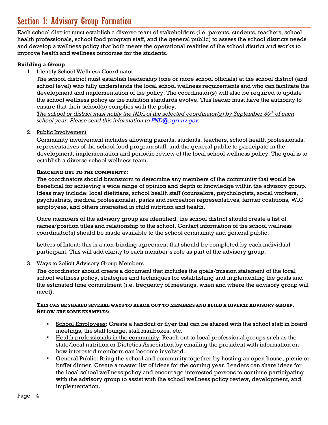### Section 1: Advisory Group Formation

Each school district must establish a diverse team of stakeholders (i.e. parents, students, teachers, school health professionals, school food program staff, and the general public) to assess the school districts needs and develop a wellness policy that both meets the operational realities of the school district and works to improve health and wellness outcomes for the students.

#### **Building a Group**

### 1. Identify School Wellness Coordinator

The school district must establish leadership (one or more school officials) at the school district (and school level) who fully understands the local school wellness requirements and who can facilitate the development and implementation of the policy. The coordinator(s) will also be required to update the school wellness policy as the nutrition standards evolve. This leader must have the authority to ensure that their school(s) complies with the policy.

*The school or district must notify the NDA of the selected coordinator(s) by September 30th of each school year. Please send this information to FND@agri.nv.gov.* 

#### 2. Public Involvement

Community involvement includes allowing parents, students, teachers, school health professionals, representatives of the school food program staff, and the general public to participate in the development, implementation and periodic review of the local school wellness policy. The goal is to establish a diverse school wellness team.

#### **REACHING OUT TO THE COMMUNITY:**

The coordinators should brainstorm to determine any members of the community that would be beneficial for achieving a wide range of opinion and depth of knowledge within the advisory group. Ideas may include: local dietitians, school health staff (counselors, psychologists, social workers, psychiatrists, medical professionals), parks and recreation representatives, farmer coalitions, WIC employees, and others interested in child nutrition and health.

Once members of the advisory group are identified, the school district should create a list of names/position titles and relationship to the school. Contact information of the school wellness coordinator(s) should be made available to the school community and general public.

Letters of Intent: this is a non-binding agreement that should be completed by each individual participant. This will add clarity to each member's role as part of the advisory group.

#### 3. Ways to Solicit Advisory Group Members

The coordinator should create a document that includes the goals/mission statement of the local school wellness policy, strategies and techniques for establishing and implementing the goals and the estimated time commitment (i.e. frequency of meetings, when and where the advisory group will meet).

#### **THIS CAN BE SHARED SEVERAL WAYS TO REACH OUT TO MEMBERS AND BUILD A DIVERSE ADVISORY GROUP. BELOW ARE SOME EXAMPLES:**

- **School Employees:** Create a handout or flyer that can be shared with the school staff in board meetings, the staff lounge, staff mailboxes, etc.
- **Health professionals in the community:** Reach out to local professional groups such as the state/local nutrition or Dietetics Association by emailing the president with information on how interested members can become involved.
- General Public: Bring the school and community together by hosting an open house, picnic or buffet dinner. Create a master list of ideas for the coming year. Leaders can share ideas for the local school wellness policy and encourage interested persons to continue participating with the advisory group to assist with the school wellness policy review, development, and implementation.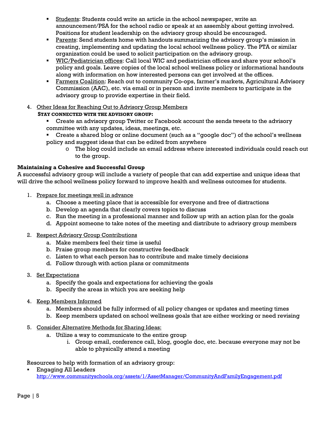- Students: Students could write an article in the school newspaper, write an announcement/PSA for the school radio or speak at an assembly about getting involved. Positions for student leadership on the advisory group should be encouraged.
- Parents: Send students home with handouts summarizing the advisory group's mission in creating, implementing and updating the local school wellness policy. The PTA or similar organization could be used to solicit participation on the advisory group.
- WIC/Pediatrician offices: Call local WIC and pediatrician offices and share your school's policy and goals. Leave copies of the local school wellness policy or informational handouts along with information on how interested persons can get involved at the offices.
- **Farmers Coalition:** Reach out to community Co-ops, farmer's markets, Agricultural Advisory Commission (AAC), etc. via email or in person and invite members to participate in the advisory group to provide expertise in their field.
- 4. Other Ideas for Reaching Out to Advisory Group Members
	- **STAY CONNECTED WITH THE ADVISORY GROUP:**
		- Create an advisory group Twitter or Facebook account the sends tweets to the advisory committee with any updates, ideas, meetings, etc.
		- Create a shared blog or online document (such as a "google doc") of the school's wellness policy and suggest ideas that can be edited from anywhere
			- o The blog could include an email address where interested individuals could reach out to the group.

### **Maintaining a Cohesive and Successful Group**

A successful advisory group will include a variety of people that can add expertise and unique ideas that will drive the school wellness policy forward to improve health and wellness outcomes for students.

- 1. Prepare for meetings well in advance
	- a. Choose a meeting place that is accessible for everyone and free of distractions
	- b. Develop an agenda that clearly covers topics to discuss
	- c. Run the meeting in a professional manner and follow up with an action plan for the goals
	- d. Appoint someone to take notes of the meeting and distribute to advisory group members
- 2. Respect Advisory Group Contributions
	- a. Make members feel their time is useful
	- b. Praise group members for constructive feedback
	- c. Listen to what each person has to contribute and make timely decisions
	- d. Follow through with action plans or commitments
- 3. Set Expectations
	- a. Specify the goals and expectations for achieving the goals
	- b. Specify the areas in which you are seeking help
- 4. Keep Members Informed
	- a. Members should be fully informed of all policy changes or updates and meeting times
	- b. Keep members updated on school wellness goals that are either working or need revising
- 5. Consider Alternative Methods for Sharing Ideas:
	- a. Utilize a way to communicate to the entire group
		- i. Group email, conference call, blog, google doc, etc. because everyone may not be able to physically attend a meeting

Resources to help with formation of an advisory group:

 Engaging All Leaders http://www.communityschools.org/assets/1/AssetManager/CommunityAndFamilyEngagement.pdf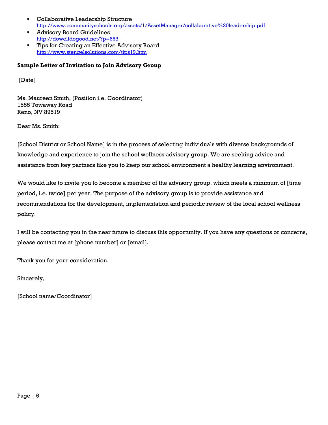- Collaborative Leadership Structure http://www.communityschools.org/assets/1/AssetManager/collaborative%20leadership.pdf
- Advisory Board Guidelines http://dowelldogood.net/?p=663
- **Tips for Creating an Effective Advisory Board** http://www.stengelsolutions.com/tips19.htm

#### **Sample Letter of Invitation to Join Advisory Group**

[Date]

Ms. Maureen Smith, (Position i.e. Coordinator) 1555 Towaway Road Reno, NV 89519

Dear Ms. Smith:

[School District or School Name] is in the process of selecting individuals with diverse backgrounds of knowledge and experience to join the school wellness advisory group. We are seeking advice and assistance from key partners like you to keep our school environment a healthy learning environment.

We would like to invite you to become a member of the advisory group, which meets a minimum of [time period, i.e. twice] per year. The purpose of the advisory group is to provide assistance and recommendations for the development, implementation and periodic review of the local school wellness policy.

I will be contacting you in the near future to discuss this opportunity. If you have any questions or concerns, please contact me at [phone number] or [email].

Thank you for your consideration.

Sincerely,

[School name/Coordinator]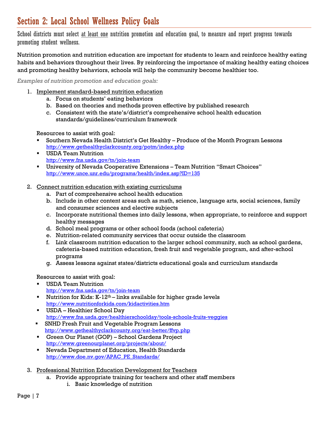### Section 2: Local School Wellness Policy Goals

School districts must select at least one nutrition promotion and education goal, to measure and report progress towards promoting student wellness.

Nutrition promotion and nutrition education are important for students to learn and reinforce healthy eating habits and behaviors throughout their lives. By reinforcing the importance of making healthy eating choices and promoting healthy behaviors, schools will help the community become healthier too.

*Examples of nutrition promotion and education goals:* 

- 1. Implement standard-based nutrition education
	- a. Focus on students' eating behaviors
	- b. Based on theories and methods proven effective by published research
	- c. Consistent with the state's/district's comprehensive school health education standards/guidelines/curriculum framework

Resources to assist with goal:

- Southern Nevada Health District's Get Healthy Produce of the Month Program Lessons http://www.gethealthyclarkcounty.org/potm/index.php
- USDA Team Nutrition http://www.fns.usda.gov/tn/join-team
- University of Nevada Cooperative Extensions Team Nutrition "Smart Choices" http://www.unce.unr.edu/programs/health/index.asp?ID=135
- 2. Connect nutrition education with existing curriculums
	- a. Part of comprehensive school health education
	- b. Include in other content areas such as math, science, language arts, social sciences, family and consumer sciences and elective subjects
	- c. Incorporate nutritional themes into daily lessons, when appropriate, to reinforce and support healthy messages
	- d. School meal programs or other school foods (school cafeteria)
	- e. Nutrition-related community services that occur outside the classroom
	- f. Link classroom nutrition education to the larger school community, such as school gardens, cafeteria-based nutrition education, fresh fruit and vegetable program, and after-school programs
	- g. Assess lessons against states/districts educational goals and curriculum standards

Resources to assist with goal:

- USDA Team Nutrition http://www.fns.usda.gov/tn/join-team
- Nutrition for Kids: K-12<sup>th</sup> links available for higher grade levels http://www.nutritionforkids.com/kidactivities.htm
- USDA Healthier School Day http://www.fns.usda.gov/healthierschoolday/tools-schools-fruits-veggies
- **SNHD Fresh Fruit and Vegetable Program Lessons** http://www.gethealthyclarkcounty.org/eat-better/ffvp.php
- Green Our Planet (GOP) School Gardens Project http://www.greenourplanet.org/projects/about/
- Nevada Department of Education, Health Standards http://www.doe.nv.gov/APAC\_PE\_Standards/
- 3. Professional Nutrition Education Development for Teachers
	- a. Provide appropriate training for teachers and other staff members
		- i. Basic knowledge of nutrition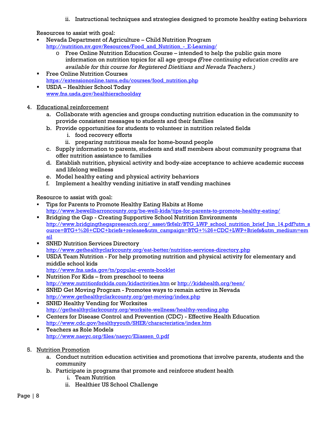ii. Instructional techniques and strategies designed to promote healthy eating behaviors

Resources to assist with goal:

- Nevada Department of Agriculture Child Nutrition Program http://nutrition.nv.gov/Resources/Food and Nutrition - E-Learning/
	- o Free Online Nutrition Education Course intended to help the public gain more information on nutrition topics for all age groups *(Free continuing education credits are available for this course for Registered Dietitians and Nevada Teachers.)*
- **Filter Courses** Free Online Nutrition Courses https://extensiononline.tamu.edu/courses/food\_nutrition.php
- USDA Healthier School Today www.fns.usda.gov/healthierschoolday
- 4. Educational reinforcement
	- a. Collaborate with agencies and groups conducting nutrition education in the community to provide consistent messages to students and their families
	- b. Provide opportunities for students to volunteer in nutrition related fields
		- i. food recovery efforts
		- ii. preparing nutritious meals for home-bound people
	- c. Supply information to parents, students and staff members about community programs that offer nutrition assistance to families
	- d. Establish nutrition, physical activity and body-size acceptance to achieve academic success and lifelong wellness
	- e. Model healthy eating and physical activity behaviors
	- f. Implement a healthy vending initiative in staff vending machines

Resource to assist with goal:

- Tips for Parents to Promote Healthy Eating Habits at Home http://www.bewellbarroncounty.org/be-well-kids/tips-for-parents-to-promote-healthy-eating/
- **Bridging the Gap Creating Supportive School Nutrition Environments** http://www.bridgingthegapresearch.org/\_asset/fk6slr/BTG\_LWP\_school\_nutrition\_brief\_Jun\_14.pdf?utm\_s ource=BTG+%26+CDC+briefs+release&utm\_campaign=BTG+%26+CDC+LWP+Briefs&utm\_medium=em ail
- SNHD Nutrition Services Directory http://www.gethealthyclarkcounty.org/eat-better/nutrition-services-directory.php
- USDA Team Nutrition For help promoting nutrition and physical activity for elementary and middle school kids
	- http://www.fns.usda.gov/tn/popular-events-booklet
- **Nutrition For Kids from preschool to teens** http://www.nutritionforkids.com/kidactivities.htm or http://kidshealth.org/teen/
- SNHD Get Moving Program Promotes ways to remain active in Nevada http://www.gethealthyclarkcounty.org/get-moving/index.php
- SNHD Healthy Vending for Worksites http://gethealthyclarkcounty.org/worksite-wellness/healthy-vending.php
- Centers for Disease Control and Prevention (CDC) Effective Health Education http://www.cdc.gov/healthyyouth/SHER/characteristics/index.htm
- **Teachers as Role Models** http://www.naeyc.org/files/naeyc/Eliassen\_0.pdf
- 5. Nutrition Promotion
	- a. Conduct nutrition education activities and promotions that involve parents, students and the community
	- b. Participate in programs that promote and reinforce student health
		- i. Team Nutrition
		- ii. Healthier US School Challenge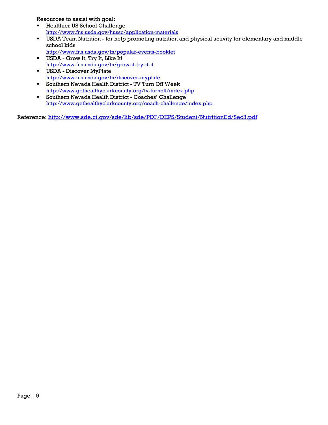Resources to assist with goal:

- **Healthier US School Challenge** http://www.fns.usda.gov/hussc/application-materials
- USDA Team Nutrition for help promoting nutrition and physical activity for elementary and middle school kids
- http://www.fns.usda.gov/tn/popular-events-booklet USDA - Grow It, Try It, Like It! http://www.fns.usda.gov/tn/grow-it-try-it-it
- USDA Discover MyPlate http://www.fns.usda.gov/tn/discover-myplate
- Southern Nevada Health District TV Turn Off Week http://www.gethealthyclarkcounty.org/tv-turnoff/index.php
- Southern Nevada Health District Coaches' Challenge http://www.gethealthyclarkcounty.org/coach-challenge/index.php

Reference: http://www.sde.ct.gov/sde/lib/sde/PDF/DEPS/Student/NutritionEd/Sec3.pdf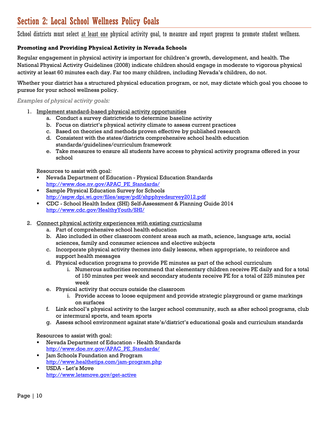### Section 2: Local School Wellness Policy Goals

School districts must select at least one physical activity goal, to measure and report progress to promote student wellness.

### **Promoting and Providing Physical Activity in Nevada Schools**

Regular engagement in physical activity is important for children's growth, development, and health. The National Physical Activity Guidelines (2008) indicate children should engage in moderate to vigorous physical activity at least 60 minutes each day. Far too many children, including Nevada's children, do not.

Whether your district has a structured physical education program, or not, may dictate which goal you choose to pursue for your school wellness policy.

#### *Examples of physical activity goals:*

- 1. Implement standard-based physical activity opportunities
	- a. Conduct a survey districtwide to determine baseline activity
	- b. Focus on district's physical activity climate to assess current practices
	- c. Based on theories and methods proven effective by published research
	- d. Consistent with the states/districts comprehensive school health education standards/guidelines/curriculum framework
	- e. Take measures to ensure all students have access to physical activity programs offered in your school

Resources to assist with goal:

- Nevada Department of Education Physical Education Standards http://www.doe.nv.gov/APAC\_PE\_Standards/
- Sample Physical Education Survey for Schools http://sspw.dpi.wi.gov/files/sspw/pdf/shpphyedsurvey2012.pdf
- CDC School Health Index (SHI) Self-Assessment & Planning Guide 2014 http://www.cdc.gov/HealthyYouth/SHI/
- 2. Connect physical activity experiences with existing curriculums
	- a. Part of comprehensive school health education
	- b. Also included in other classroom content areas such as math, science, language arts, social sciences, family and consumer sciences and elective subjects
	- c. Incorporate physical activity themes into daily lessons, when appropriate, to reinforce and support health messages
	- d. Physical education programs to provide PE minutes as part of the school curriculum
		- i. Numerous authorities recommend that elementary children receive PE daily and for a total of 150 minutes per week and secondary students receive PE for a total of 225 minutes per week
	- e. Physical activity that occurs outside the classroom
		- i. Provide access to loose equipment and provide strategic playground or game markings on surfaces
	- f. Link school's physical activity to the larger school community, such as after school programs, club or intermural sports, and team sports
	- g. Assess school environment against state's/district's educational goals and curriculum standards

Resources to assist with goal:

- Nevada Department of Education Health Standards http://www.doe.nv.gov/APAC\_PE\_Standards/
- Jam Schools Foundation and Program http://www.healthetips.com/jam-program.php
- USDA Let's Move http://www.letsmove.gov/get-active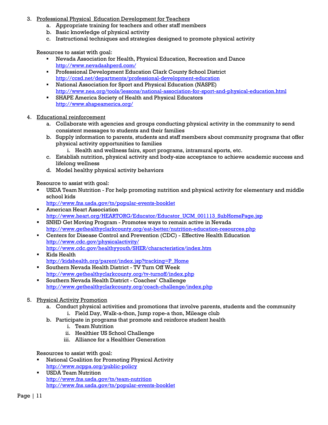- 3. Professional Physical Education Development for Teachers
	- a. Appropriate training for teachers and other staff members
	- b. Basic knowledge of physical activity
	- c. Instructional techniques and strategies designed to promote physical activity

Resources to assist with goal:

- Nevada Association for Health, Physical Education, Recreation and Dance http://www.nevadaahperd.com/
- Professional Development Education Clark County School District http://ccsd.net/departments/professional-development-education
- National Association for Sport and Physical Education (NASPE) http://www.nea.org/tools/lessons/national-association-for-sport-and-physical-education.html
- SHAPE America Society of Health and Physical Educators http://www.shapeamerica.org/
- 4. Educational reinforcement
	- a. Collaborate with agencies and groups conducting physical activity in the community to send consistent messages to students and their families
	- b. Supply information to parents, students and staff members about community programs that offer physical activity opportunities to families
		- i. Health and wellness fairs, sport programs, intramural sports, etc.
	- c. Establish nutrition, physical activity and body-size acceptance to achieve academic success and lifelong wellness
	- d. Model healthy physical activity behaviors

Resource to assist with goal:

- USDA Team Nutrition For help promoting nutrition and physical activity for elementary and middle school kids
	- http://www.fns.usda.gov/tn/popular-events-booklet
- **American Heart Association** http://www.heart.org/HEARTORG/Educator/Educator\_UCM\_001113\_SubHomePage.jsp
- SNHD Get Moving Program Promotes ways to remain active in Nevada http://www.gethealthyclarkcounty.org/eat-better/nutrition-education-resources.php
- Centers for Disease Control and Prevention (CDC) Effective Health Education http://www.cdc.gov/physicalactivity/ http://www.cdc.gov/healthyyouth/SHER/characteristics/index.htm
- Kids Health http://kidshealth.org/parent/index.jsp?tracking=P\_Home
- Southern Nevada Health District TV Turn Off Week http://www.gethealthyclarkcounty.org/tv-turnoff/index.php
- Southern Nevada Health District Coaches' Challenge http://www.gethealthyclarkcounty.org/coach-challenge/index.php
- 5. Physical Activity Promotion
	- a. Conduct physical activities and promotions that involve parents, students and the community
		- i. Field Day, Walk-a-thon, Jump rope-a thon, Mileage club
	- b. Participate in programs that promote and reinforce student health
		- i. Team Nutrition
		- ii. Healthier US School Challenge
		- iii. Alliance for a Healthier Generation

Resources to assist with goal:

- National Coalition for Promoting Physical Activity http://www.ncppa.org/public-policy
- USDA Team Nutrition http://www.fns.usda.gov/tn/team-nutrition http://www.fns.usda.gov/tn/popular-events-booklet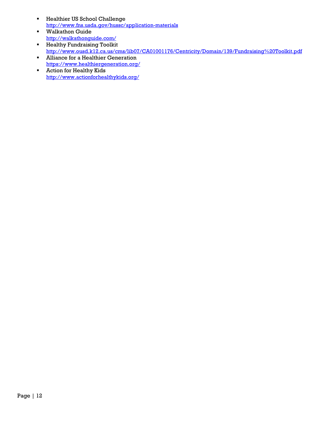- **Healthier US School Challenge** http://www.fns.usda.gov/hussc/application-materials
- Walkathon Guide http://walkathonguide.com/ **Healthy Fundraising Toolkit**
- http://www.ousd.k12.ca.us/cms/lib07/CA01001176/Centricity/Domain/139/Fundraising%20Toolkit.pdf **Alliance for a Healthier Generation**
- https://www.healthiergeneration.org/
- **Action for Healthy Kids** http://www.actionforhealthykids.org/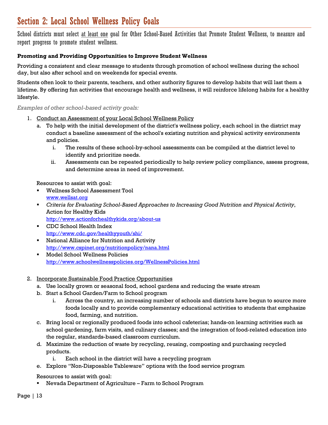### Section 2: Local School Wellness Policy Goals

School districts must select at least one goal for Other School-Based Activities that Promote Student Wellness, to measure and report progress to promote student wellness.

### **Promoting and Providing Opportunities to Improve Student Wellness**

Providing a consistent and clear message to students through promotion of school wellness during the school day, but also after school and on weekends for special events.

Students often look to their parents, teachers, and other authority figures to develop habits that will last them a lifetime. By offering fun activities that encourage health and wellness, it will reinforce lifelong habits for a healthy lifestyle.

#### *Examples of other school-based activity goals:*

- 1. Conduct an Assessment of your Local School Wellness Policy
	- a. To help with the initial development of the district's wellness policy, each school in the district may conduct a baseline assessment of the school's existing nutrition and physical activity environments and policies.
		- i. The results of these school-by-school assessments can be compiled at the district level to identify and prioritize needs.
		- ii. Assessments can be repeated periodically to help review policy compliance, assess progress, and determine areas in need of improvement.

Resources to assist with goal:

- Wellness School Assessment Tool www.wellsat.org
- *Criteria for Evaluating School-Based Approaches to Increasing Good Nutrition and Physical Activity*, Action for Healthy Kids http://www.actionforhealthykids.org/about-us
- CDC School Health Index http://www.cdc.gov/healthyyouth/shi/
- National Alliance for Nutrition and Activity http://www.cspinet.org/nutritionpolicy/nana.html
- Model School Wellness Policies http://www.schoolwellnesspolicies.org/WellnessPolicies.html

### 2. Incorporate Sustainable Food Practice Opportunities

- a. Use locally grown or seasonal food, school gardens and reducing the waste stream
- b. Start a School Garden/Farm to School program
	- i. Across the country, an increasing number of schools and districts have begun to source more foods locally and to provide complementary educational activities to students that emphasize food, farming, and nutrition.
- c. Bring local or regionally produced foods into school cafeterias; hands-on learning activities such as school gardening, farm visits, and culinary classes; and the integration of food-related education into the regular, standards-based classroom curriculum.
- d. Maximize the reduction of waste by recycling, reusing, composting and purchasing recycled products.
	- i. Each school in the district will have a recycling program
- e. Explore "Non-Disposable Tableware" options with the food service program

Resources to assist with goal:

Nevada Department of Agriculture – Farm to School Program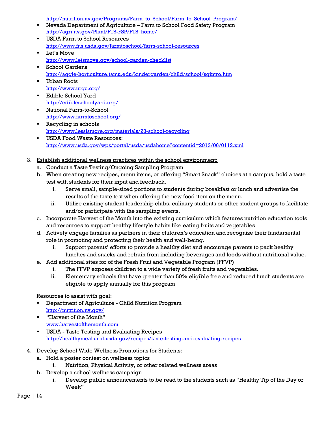http://nutrition.nv.gov/Programs/Farm\_to\_School/Farm\_to\_School\_Program/

- Nevada Department of Agriculture Farm to School Food Safety Program http://agri.nv.gov/Plant/FTS-FSP/FTS\_home/
- **USDA Farm to School Resources** http://www.fns.usda.gov/farmtoschool/farm-school-resources
- **Let's Move** http://www.letsmove.gov/school-garden-checklist
- School Gardens http://aggie-horticulture.tamu.edu/kindergarden/child/school/sgintro.htm
- Urban Roots http://www.urgc.org/
- Edible School Yard http://edibleschoolyard.org/
- National Farm-to-School http://www.farmtoschool.org/
- Recycling in schools http://www.lessismore.org/materials/23-school-recycling
- USDA Food Waste Resources: http://www.usda.gov/wps/portal/usda/usdahome?contentid=2013/06/0112.xml
- 3. Establish additional wellness practices within the school environment:
	- a. Conduct a Taste Testing/Ongoing Sampling Program
	- b. When creating new recipes, menu items, or offering "Smart Snack" choices at a campus, hold a taste test with students for their input and feedback.
		- i. Serve small, sample-sized portions to students during breakfast or lunch and advertise the results of the taste test when offering the new food item on the menu.
		- ii. Utilize existing student leadership clubs, culinary students or other student groups to facilitate and/or participate with the sampling events.
	- c. Incorporate Harvest of the Month into the existing curriculum which features nutrition education tools and resources to support healthy lifestyle habits like eating fruits and vegetables
	- d. Actively engage families as partners in their children's education and recognize their fundamental role in promoting and protecting their health and well-being.
		- i. Support parents' efforts to provide a healthy diet and encourage parents to pack healthy lunches and snacks and refrain from including beverages and foods without nutritional value.
	- e. Add additional sites for of the Fresh Fruit and Vegetable Program (FFVP)
		- i. The FFVP exposes children to a wide variety of fresh fruits and vegetables.
		- ii. Elementary schools that have greater than 50% eligible free and reduced lunch students are eligible to apply annually for this program

Resources to assist with goal:

- Department of Agriculture Child Nutrition Program http://nutrition.nv.gov/
- "Harvest of the Month" www.harvestofthemonth.com
- USDA Taste Testing and Evaluating Recipes http://healthymeals.nal.usda.gov/recipes/taste-testing-and-evaluating-recipes
- 4. Develop School Wide Wellness Promotions for Students:
	- a. Hold a poster contest on wellness topics
		- i. Nutrition, Physical Activity, or other related wellness areas
	- b. Develop a school wellness campaign
		- i. Develop public announcements to be read to the students such as "Healthy Tip of the Day or Week"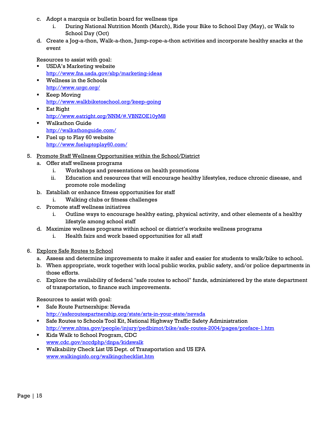- c. Adopt a marquis or bulletin board for wellness tips
	- i. During National Nutrition Month (March), Ride your Bike to School Day (May), or Walk to School Day (Oct)
- d. Create a Jog-a-thon, Walk-a-thon, Jump-rope-a-thon activities and incorporate healthy snacks at the event

Resources to assist with goal:

- USDA's Marketing website http://www.fns.usda.gov/sbp/marketing-ideas
- Wellness in the Schools http://www.urgc.org/
- **Keep Moving** http://www.walkbiketoschool.org/keep-going
- **Eat Right** http://www.eatright.org/NNM/#.VBNZOE10yM8
- Walkathon Guide http://walkathonguide.com/
- Fuel up to Play 60 website http://www.fueluptoplay60.com/
- 5. Promote Staff Wellness Opportunities within the School/District
	- a. Offer staff wellness programs
		- i. Workshops and presentations on health promotions
		- ii. Education and resources that will encourage healthy lifestyles, reduce chronic disease, and promote role modeling
	- b. Establish or enhance fitness opportunities for staff
		- i. Walking clubs or fitness challenges
	- c. Promote staff wellness initiatives
		- i. Outline ways to encourage healthy eating, physical activity, and other elements of a healthy lifestyle among school staff
	- d. Maximize wellness programs within school or district's worksite wellness programs
		- i. Health fairs and work based opportunities for all staff
- 6. Explore Safe Routes to School
	- a. Assess and determine improvements to make it safer and easier for students to walk/bike to school.
	- b. When appropriate, work together with local public works, public safety, and/or police departments in those efforts.
	- c. Explore the availability of federal "safe routes to school" funds, administered by the state department of transportation, to finance such improvements.

Resources to assist with goal:

- Safe Route Partnerships: Nevada http://saferoutespartnership.org/state/srts-in-your-state/nevada
- Safe Routes to Schools Tool Kit, National Highway Traffic Safety Administration http://www.nhtsa.gov/people/injury/pedbimot/bike/safe-routes-2004/pages/preface-1.htm
- Kids Walk to School Program, CDC www.cdc.gov/nccdphp/dnpa/kidswalk
- Walkability Check List US Dept. of Transportation and US EPA www.walkinginfo.org/walkingchecklist.htm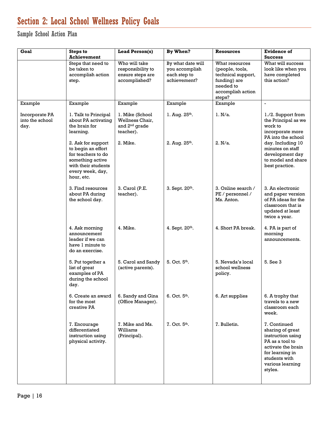### Section 2: Local School Wellness Policy Goals

Sample School Action Plan

| Goal                                      | <b>Steps to</b><br><b>Achievement</b>                                                                                                       | <b>Lead Person(s)</b>                                                        | By When?                                                            | Resources                                                                                                           | <b>Evidence of</b><br><b>Success</b>                                                                                                                              |
|-------------------------------------------|---------------------------------------------------------------------------------------------------------------------------------------------|------------------------------------------------------------------------------|---------------------------------------------------------------------|---------------------------------------------------------------------------------------------------------------------|-------------------------------------------------------------------------------------------------------------------------------------------------------------------|
|                                           | Steps that need to<br>be taken to<br>accomplish action<br>step.                                                                             | Who will take<br>responsibility to<br>ensure steps are<br>accomplished?      | By what date will<br>you accomplish<br>each step to<br>achievement? | What resources<br>(people, tools,<br>technical support,<br>funding) are<br>needed to<br>accomplish action<br>steps? | What will success<br>look like when you<br>have completed<br>this action?                                                                                         |
| Example                                   | Example                                                                                                                                     | Example                                                                      | Example                                                             | Example                                                                                                             | $\blacksquare$                                                                                                                                                    |
| Incorporate PA<br>into the school<br>day. | 1. Talk to Principal<br>about PA activating<br>the brain for<br>learning.                                                                   | 1. Mike (School<br>Wellness Chair,<br>and 2 <sup>nd</sup> grade<br>teacher). | 1. Aug. $25^{th}$ .                                                 | 1. N/a.                                                                                                             | 1./2. Support from<br>the Principal as we<br>work to<br>incorporate more<br>PA into the school                                                                    |
|                                           | 2. Ask for support<br>to begin an effort<br>for teachers to do<br>something active<br>with their students<br>every week, day,<br>hour, etc. | 2. Mike.                                                                     | 2. Aug. $25^{th}$ .                                                 | 2. N/a.                                                                                                             | day. Including 10<br>minutes on staff<br>development day<br>to model and share<br>best practice.                                                                  |
|                                           | 3. Find resources<br>about PA during<br>the school day.                                                                                     | 3. Carol (P.E.<br>teacher).                                                  | 3. Sept. 20th.                                                      | 3. Online search /<br>PE / personnel /<br>Ms. Anton.                                                                | 3. An electronic<br>and paper version<br>of PA ideas for the<br>classroom that is<br>updated at least<br>twice a year.                                            |
|                                           | 4. Ask morning<br>announcement<br>leader if we can<br>have 1 minute to<br>do an exercise.                                                   | 4. Mike.                                                                     | 4. Sept. 20th.                                                      | 4. Short PA break.                                                                                                  | 4. PA is part of<br>morning<br>announcements.                                                                                                                     |
|                                           | 5. Put together a<br>list of great<br>examples of PA<br>during the school<br>day.                                                           | 5. Carol and Sandy<br>(active parents).                                      | 5. Oct. 5th.                                                        | 5. Nevada's local<br>school wellness<br>policy.                                                                     | 5. See 3                                                                                                                                                          |
|                                           | 6. Create an award<br>for the most<br>creative PA                                                                                           | 6. Sandy and Gina<br>(Office Manager).                                       | $6.$ Oct. $5th$ .                                                   | 6. Art supplies                                                                                                     | 6. A trophy that<br>travels to a new<br>classroom each<br>week.                                                                                                   |
|                                           | 7. Encourage<br>differentiated<br>instruction using<br>physical activity.                                                                   | 7. Mike and Ms.<br>Williams<br>(Principal).                                  | $7.$ Oct. $5th$ .                                                   | 7. Bulletin.                                                                                                        | 7. Continued<br>sharing of great<br>instruction using<br>PA as a tool to<br>activate the brain<br>for learning in<br>students with<br>various learning<br>styles. |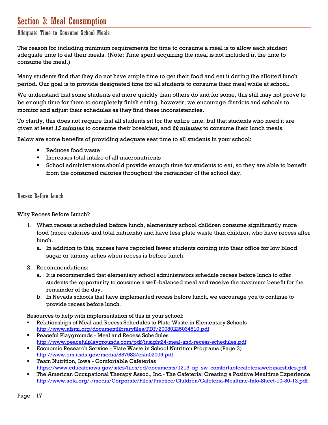### Section 3: Meal Consumption

Adequate Time to Consume School Meals

The reason for including minimum requirements for time to consume a meal is to allow each student adequate time to eat their meals. (Note: Time spent acquiring the meal is not included in the time to consume the meal.)

Many students find that they do not have ample time to get their food and eat it during the allotted lunch period. Our goal is to provide designated time for all students to consume their meal while at school.

We understand that some students eat more quickly than others do and for some, this still may not prove to be enough time for them to completely finish eating, however, we encourage districts and schools to monitor and adjust their schedules as they find these inconsistencies.

To clarify, this does not require that all students sit for the entire time, but that students who need it are given at least *15 minutes* to consume their breakfast, and *20 minutes* to consume their lunch meals.

Below are some benefits of providing adequate seat time to all students in your school:

- Reduces food waste
- Increases total intake of all macronutrients
- School administrators should provide enough time for students to eat, so they are able to benefit from the consumed calories throughout the remainder of the school day.

#### Recess Before Lunch

Why Recess Before Lunch?

- 1. When recess is scheduled before lunch, elementary school children consume significantly more food (more calories and total nutrients) and have less plate waste than children who have recess after lunch.
	- a. In addition to this, nurses have reported fewer students coming into their office for low blood sugar or tummy aches when recess is before lunch.
- 2. Recommendations:
	- a. It is recommended that elementary school administrators schedule recess before lunch to offer students the opportunity to consume a well-balanced meal and receive the maximum benefit for the remainder of the day.
	- b. In Nevada schools that have implemented recess before lunch, we encourage you to continue to provide recess before lunch.

Resources to help with implementation of this in your school:

- Relationships of Meal and Recess Schedules to Plate Waste in Elementary Schools http://www.nfsmi.org/documentlibraryfiles/PDF/20080225034510.pdf
- Peaceful Playgrounds Meal and Recess Schedules http://www.peacefulplaygrounds.com/pdf/insight24-meal-and-recess-schedules.pdf
- Economic Research Service Plate Waste in School Nutrition Programs (Page 3) http://www.ers.usda.gov/media/887982/efan02009.pdf
- Team Nutrition, Iowa Comfortable Cafeterias https://www.educateiowa.gov/sites/files/ed/documents/1213\_np\_sw\_comfortablecafeteriawebinarslides.pdf
- The American Occupational Therapy Assoc., Inc.- The Cafeteria: Creating a Positive Mealtime Experience http://www.aota.org/-/media/Corporate/Files/Practice/Children/Cafeteria-Mealtime-Info-Sheet-10-30-13.pdf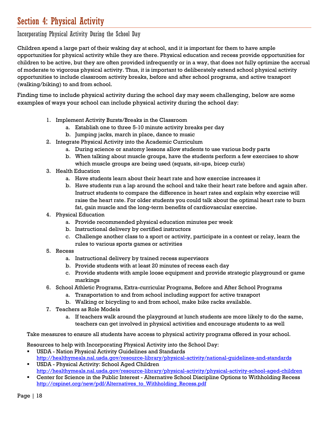### Section 4: Physical Activity

Incorporating Physical Activity During the School Day

Children spend a large part of their waking day at school, and it is important for them to have ample opportunities for physical activity while they are there. Physical education and recess provide opportunities for children to be active, but they are often provided infrequently or in a way, that does not fully optimize the accrual of moderate to vigorous physical activity. Thus, it is important to deliberately extend school physical activity opportunities to include classroom activity breaks, before and after school programs, and active transport (walking/biking) to and from school.

Finding time to include physical activity during the school day may seem challenging, below are some examples of ways your school can include physical activity during the school day:

- 1. Implement Activity Bursts/Breaks in the Classroom
	- a. Establish one to three 5-10 minute activity breaks per day
	- b. Jumping jacks, march in place, dance to music
- 2. Integrate Physical Activity into the Academic Curriculum
	- a. During science or anatomy lessons allow students to use various body parts
	- b. When talking about muscle groups, have the students perform a few exercises to show which muscle groups are being used (squats, sit-ups, bicep curls)
- 3. Health Education
	- a. Have students learn about their heart rate and how exercise increases it
	- b. Have students run a lap around the school and take their heart rate before and again after. Instruct students to compare the difference in heart rates and explain why exercise will raise the heart rate. For older students you could talk about the optimal heart rate to burn fat, gain muscle and the long-term benefits of cardiovascular exercise.
- 4. Physical Education
	- a. Provide recommended physical education minutes per week
	- b. Instructional delivery by certified instructors
	- c. Challenge another class to a sport or activity, participate in a contest or relay, learn the rules to various sports games or activities
- 5. Recess
	- a. Instructional delivery by trained recess supervisors
	- b. Provide students with at least 20 minutes of recess each day
	- c. Provide students with ample loose equipment and provide strategic playground or game markings
- 6. School Athletic Programs, Extra-curricular Programs, Before and After School Programs
	- a. Transportation to and from school including support for active transport
	- b. Walking or bicycling to and from school, make bike racks available.
- 7. Teachers as Role Models
	- a. If teachers walk around the playground at lunch students are more likely to do the same, teachers can get involved in physical activities and encourage students to as well

Take measures to ensure all students have access to physical activity programs offered in your school.

Resources to help with Incorporating Physical Activity into the School Day:

- USDA Nation Physical Activity Guidelines and Standards http://healthymeals.nal.usda.gov/resource-library/physical-activity/national-guidelines-and-standards
- USDA Physical Activity: School Aged Children http://healthymeals.nal.usda.gov/resource-library/physical-activity/physical-activity-school-aged-children
- Center for Science in the Public Interest Alternative School Discipline Options to Withholding Recess http://cspinet.org/new/pdf/Alternatives\_to\_Withholding\_Recess.pdf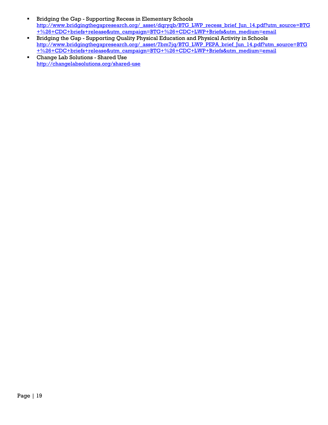- **Bridging the Gap Supporting Recess in Elementary Schools** http://www.bridgingthegapresearch.org/\_asset/dqryqb/BTG\_LWP\_recess\_brief\_Jun\_14.pdf?utm\_source=BTG +%26+CDC+briefs+release&utm\_campaign=BTG+%26+CDC+LWP+Briefs&utm\_medium=email
- Bridging the Gap Supporting Quality Physical Education and Physical Activity in Schools http://www.bridgingthegapresearch.org/\_asset/7bm7jg/BTG\_LWP\_PEPA\_brief\_Jun\_14.pdf?utm\_source=BTG +%26+CDC+briefs+release&utm\_campaign=BTG+%26+CDC+LWP+Briefs&utm\_medium=email
- Change Lab Solutions Shared Use http://changelabsolutions.org/shared-use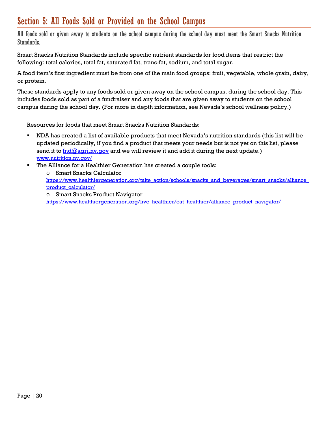### Section 5: All Foods Sold or Provided on the School Campus

All foods sold or given away to students on the school campus during the school day must meet the Smart Snacks Nutrition Standards.

Smart Snacks Nutrition Standards include specific nutrient standards for food items that restrict the following: total calories, total fat, saturated fat, trans-fat, sodium, and total sugar.

A food item's first ingredient must be from one of the main food groups: fruit, vegetable, whole grain, dairy, or protein.

These standards apply to any foods sold or given away on the school campus, during the school day. This includes foods sold as part of a fundraiser and any foods that are given away to students on the school campus during the school day. (For more in depth information, see Nevada's school wellness policy.)

Resources for foods that meet Smart Snacks Nutrition Standards:

- NDA has created a list of available products that meet Nevada's nutrition standards (this list will be updated periodically, if you find a product that meets your needs but is not yet on this list, please send it to **foll agritial and we** will review it and add it during the next update.) www.nutrition.nv.gov/
- **The Alliance for a Healthier Generation has created a couple tools:**

o Smart Snacks Calculator https://www.healthiergeneration.org/take\_action/schools/snacks\_and\_beverages/smart\_snacks/alliance\_ product\_calculator/

o Smart Snacks Product Navigator

https://www.healthiergeneration.org/live\_healthier/eat\_healthier/alliance\_product\_navigator/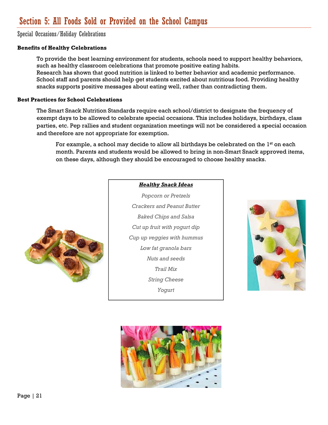### Section 5: All Foods Sold or Provided on the School Campus

Special Occasions/Holiday Celebrations

### **Benefits of Healthy Celebrations**

To provide the best learning environment for students, schools need to support healthy behaviors, such as healthy classroom celebrations that promote positive eating habits. Research has shown that good nutrition is linked to better behavior and academic performance. School staff and parents should help get students excited about nutritious food. Providing healthy snacks supports positive messages about eating well, rather than contradicting them.

#### **Best Practices for School Celebrations**

The Smart Snack Nutrition Standards require each school/district to designate the frequency of exempt days to be allowed to celebrate special occasions. This includes holidays, birthdays, class parties, etc. Pep rallies and student organization meetings will not be considered a special occasion and therefore are not appropriate for exemption.

For example, a school may decide to allow all birthdays be celebrated on the 1<sup>st</sup> on each month. Parents and students would be allowed to bring in non-Smart Snack approved items, on these days, although they should be encouraged to choose healthy snacks.



#### *Healthy Snack Ideas*

*Popcorn or Pretzels Crackers and Peanut Butter Baked Chips and Salsa Cut up fruit with yogurt dip Cup up veggies with hummus Low fat granola bars Nuts and seeds Trail Mix String Cheese Yogurt* 



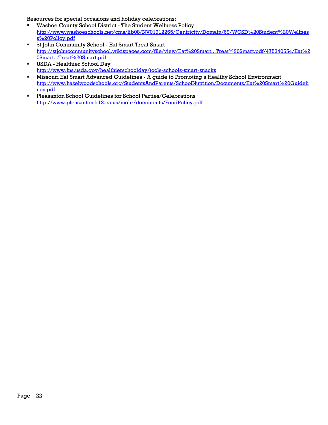Resources for special occasions and holiday celebrations:

- Washoe County School District The Student Wellness Policy http://www.washoeschools.net/cms/lib08/NV01912265/Centricity/Domain/69/WCSD%20Student%20Wellnes s%20Policy.pdf
- St John Community School Eat Smart Treat Smart http://stjohncommunityschool.wikispaces.com/file/view/Eat%20Smart...Treat%20Smart.pdf/475340554/Eat%2 0Smart...Treat%20Smart.pdf
- USDA Healthier School Day http://www.fns.usda.gov/healthierschoolday/tools-schools-smart-snacks
- Missouri Eat Smart Advanced Guidelines A guide to Promoting a Healthy School Environment http://www.hazelwoodschools.org/StudentsAndParents/SchoolNutrition/Documents/Eat%20Smart%20Guideli nes.pdf
- Pleasanton School Guidelines for School Parties/Celebrations http://www.pleasanton.k12.ca.us/mohr/documents/FoodPolicy.pdf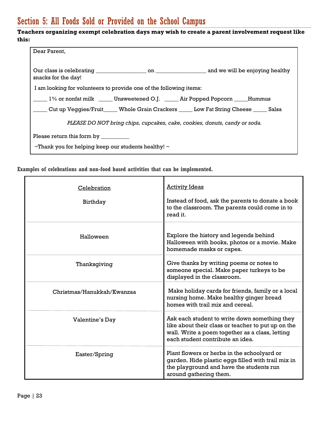### Section 5: All Foods Sold or Provided on the School Campus

### **Teachers organizing exempt celebration days may wish to create a parent involvement request like this:**

| Dear Parent.                                                                                   |  |  |  |  |
|------------------------------------------------------------------------------------------------|--|--|--|--|
| snacks for the day!                                                                            |  |  |  |  |
| I am looking for volunteers to provide one of the following items:                             |  |  |  |  |
| 1% or nonfat milk ______ Unsweetened O.J. ______ Air Popped Popcorn _____ Hummus               |  |  |  |  |
| ____ Cut up Veggies/Fruit______ Whole Grain Crackers ______ Low Fat String Cheese ______ Salsa |  |  |  |  |
| PLEASE DO NOT bring chips, cupcakes, cake, cookies, donuts, candy or soda.                     |  |  |  |  |
| Please return this form by __________                                                          |  |  |  |  |
| $\sim$ Thank you for helping keep our students healthy! $\sim$                                 |  |  |  |  |

**Examples of celebrations and non-food based activities that can be implemented.** 

| Celebration<br>Birthday    | <b>Activity Ideas</b><br>Instead of food, ask the parents to donate a book<br>to the classroom. The parents could come in to<br>read it.                                                   |
|----------------------------|--------------------------------------------------------------------------------------------------------------------------------------------------------------------------------------------|
| Halloween                  | Explore the history and legends behind<br>Halloween with books, photos or a movie. Make<br>homemade masks or capes.                                                                        |
| Thanksgiving               | Give thanks by writing poems or notes to<br>someone special. Make paper turkeys to be<br>displayed in the classroom.                                                                       |
| Christmas/Hanukkah/Kwanzaa | Make holiday cards for friends, family or a local<br>nursing home. Make healthy ginger bread<br>homes with trail mix and cereal.                                                           |
| Valentine's Day            | Ask each student to write down something they<br>like about their class or teacher to put up on the<br>wall. Write a poem together as a class, letting<br>each student contribute an idea. |
| Easter/Spring              | Plant flowers or herbs in the schoolyard or<br>garden. Hide plastic eggs filled with trail mix in<br>the playground and have the students run<br>around gathering them.                    |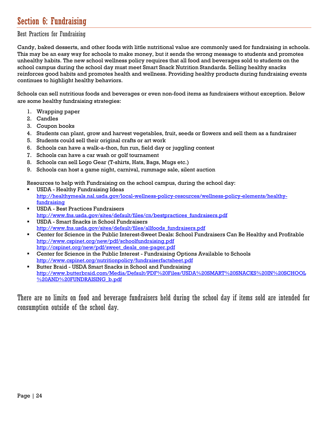### Section 6: Fundraising

### Best Practices for Fundraising

Candy, baked desserts, and other foods with little nutritional value are commonly used for fundraising in schools. This may be an easy way for schools to make money, but it sends the wrong message to students and promotes unhealthy habits. The new school wellness policy requires that all food and beverages sold to students on the school campus during the school day must meet Smart Snack Nutrition Standards. Selling healthy snacks reinforces good habits and promotes health and wellness. Providing healthy products during fundraising events continues to highlight healthy behaviors.

Schools can sell nutritious foods and beverages or even non-food items as fundraisers without exception. Below are some healthy fundraising strategies:

- 1. Wrapping paper
- 2. Candles
- 3. Coupon books
- 4. Students can plant, grow and harvest vegetables, fruit, seeds or flowers and sell them as a fundraiser
- 5. Students could sell their original crafts or art work
- 6. Schools can have a walk-a-thon, fun run, field day or juggling contest
- 7. Schools can have a car wash or golf tournament
- 8. Schools can sell Logo Gear (T-shirts, Hats, Bags, Mugs etc.)
- 9. Schools can host a game night, carnival, rummage sale, silent auction

Resources to help with Fundraising on the school campus, during the school day:

- USDA Healthy Fundraising Ideas http://healthymeals.nal.usda.gov/local-wellness-policy-resources/wellness-policy-elements/healthyfundraising
- USDA Best Practices Fundraisers http://www.fns.usda.gov/sites/default/files/cn/bestpractices\_fundraisers.pdf
- USDA Smart Snacks in School Fundraisers http://www.fns.usda.gov/sites/default/files/allfoods\_fundraisers.pdf
- Center for Science in the Public Interest-Sweet Deals: School Fundraisers Can Be Healthy and Profitable http://www.cspinet.org/new/pdf/schoolfundraising.pdf http://cspinet.org/new/pdf/sweet\_deals\_one-pager.pdf
- Center for Science in the Public Interest Fundraising Options Available to Schools http://www.cspinet.org/nutritionpolicy/fundraiserfactsheet.pdf
- **Butter Braid USDA Smart Snacks in School and Fundraising** http://www.butterbraid.com/Media/Default/PDF%20Files/USDA%20SMART%20SNACKS%20IN%20SCHOOL %20AND%20FUNDRAISING\_b.pdf

There are no limits on food and beverage fundraisers held during the school day if items sold are intended for consumption outside of the school day.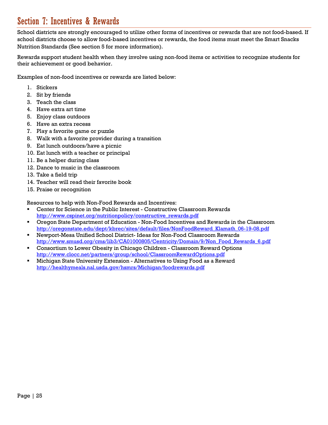### Section 7: Incentives & Rewards

School districts are strongly encouraged to utilize other forms of incentives or rewards that are not food-based. If school districts choose to allow food-based incentives or rewards, the food items must meet the Smart Snacks Nutrition Standards (See section 5 for more information).

Rewards support student health when they involve using non-food items or activities to recognize students for their achievement or good behavior.

Examples of non-food incentives or rewards are listed below:

- 1. Stickers
- 2. Sit by friends
- 3. Teach the class
- 4. Have extra art time
- 5. Enjoy class outdoors
- 6. Have an extra recess
- 7. Play a favorite game or puzzle
- 8. Walk with a favorite provider during a transition
- 9. Eat lunch outdoors/have a picnic
- 10. Eat lunch with a teacher or principal
- 11. Be a helper during class
- 12. Dance to music in the classroom
- 13. Take a field trip
- 14. Teacher will read their favorite book
- 15. Praise or recognition

Resources to help with Non-Food Rewards and Incentives:

- Center for Science in the Public Interest Constructive Classroom Rewards http://www.cspinet.org/nutritionpolicy/constructive\_rewards.pdf
- Oregon State Department of Education Non-Food Incentives and Rewards in the Classroom http://oregonstate.edu/dept/kbrec/sites/default/files/NonFoodReward\_Klamath\_06-19-08.pdf
- Newport-Mesa Unified School District- Ideas for Non-Food Classroom Rewards http://www.smusd.org/cms/lib3/CA01000805/Centricity/Domain/9/Non\_Food\_Rewards\_6.pdf
- Consortium to Lower Obesity in Chicago Children Classroom Reward Options http://www.clocc.net/partners/group/school/ClassroomRewardOptions.pdf
- Michigan State University Extension Alternatives to Using Food as a Reward http://healthymeals.nal.usda.gov/hsmrs/Michigan/foodrewards.pdf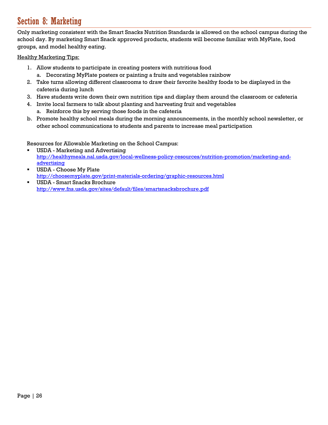### Section 8: Marketing

Only marketing consistent with the Smart Snacks Nutrition Standards is allowed on the school campus during the school day. By marketing Smart Snack approved products, students will become familiar with MyPlate, food groups, and model healthy eating.

#### Healthy Marketing Tips:

- 1. Allow students to participate in creating posters with nutritious food
	- a. Decorating MyPlate posters or painting a fruits and vegetables rainbow
- 2. Take turns allowing different classrooms to draw their favorite healthy foods to be displayed in the cafeteria during lunch
- 3. Have students write down their own nutrition tips and display them around the classroom or cafeteria
- 4. Invite local farmers to talk about planting and harvesting fruit and vegetables
	- a. Reinforce this by serving those foods in the cafeteria
- b. Promote healthy school meals during the morning announcements, in the monthly school newsletter, or other school communications to students and parents to increase meal participation

#### Resources for Allowable Marketing on the School Campus:

- USDA Marketing and Advertising http://healthymeals.nal.usda.gov/local-wellness-policy-resources/nutrition-promotion/marketing-andadvertising
- USDA Choose My Plate http://choosemyplate.gov/print-materials-ordering/graphic-resources.html
- USDA Smart Snacks Brochure http://www.fns.usda.gov/sites/default/files/smartsnacksbrochure.pdf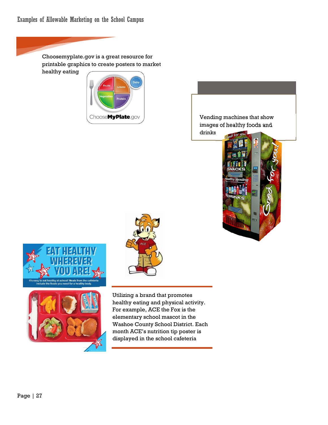Choosemyplate.gov is a great resource for printable graphics to create posters to market healthy eating











Utilizing a brand that promotes healthy eating and physical activity. For example, ACE the Fox is the elementary school mascot in the Washoe County School District. Each month ACE's nutrition tip poster is displayed in the school cafeteria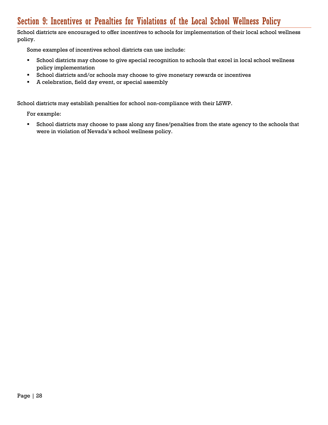### Section 9: Incentives or Penalties for Violations of the Local School Wellness Policy

School districts are encouraged to offer incentives to schools for implementation of their local school wellness policy.

Some examples of incentives school districts can use include:

- School districts may choose to give special recognition to schools that excel in local school wellness policy implementation
- School districts and/or schools may choose to give monetary rewards or incentives
- A celebration, field day event, or special assembly

School districts may establish penalties for school non-compliance with their LSWP.

For example:

 School districts may choose to pass along any fines/penalties from the state agency to the schools that were in violation of Nevada's school wellness policy.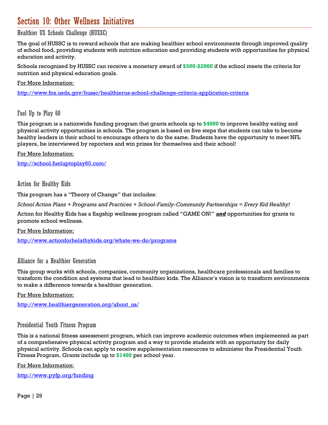### Section 10: Other Wellness Initiatives

### Healthier US Schools Challenge (HUSSC)

The goal of HUSSC is to reward schools that are making healthier school environments through improved quality of school food, providing students with nutrition education and providing students with opportunities for physical education and activity.

Schools recognized by HUSSC can receive a monetary award of **\$500-\$2000** if the school meets the criteria for nutrition and physical education goals.

For More Information:

http://www.fns.usda.gov/hussc/healthierus-school-challenge-criteria-application-criteria

Fuel Up to Play 60

This program is a nationwide funding program that grants schools up to **\$4000** to improve healthy eating and physical activity opportunities in schools. The program is based on five steps that students can take to become healthy leaders in their school to encourage others to do the same. Students have the opportunity to meet NFL players, be interviewed by reporters and win prizes for themselves and their school!

For More Information:

http://school.fueluptoplay60.com/

Action for Healthy Kids

This program has a "Theory of Change" that includes:

*School Action Plans + Programs and Practices + School-Family-Community Partnerships = Every Kid Healthy!* 

Action for Healthy Kids has a flagship wellness program called "GAME ON!" *and* opportunities for grants to promote school wellness.

For More Information:

http://www.actionforhelathykids.org/whate-we-do/programs

### Alliance for a Healthier Generation

This group works with schools, companies, community organizations, healthcare professionals and families to transform the condition and systems that lead to healthier kids. The Alliance's vision is to transform environments to make a difference towards a healthier generation.

For More Information:

http://www.healthiergeneration.org/about\_us/

#### Presidential Youth Fitness Program

This is a national fitness assessment program, which can improve academic outcomes when implemented as part of a comprehensive physical activity program and a way to provide students with an opportunity for daily physical activity. Schools can apply to receive supplementation resources to administer the Presidential Youth Fitness Program. Grants include up to **\$1400** per school year.

For More Information:

http://www.pyfp.org/funding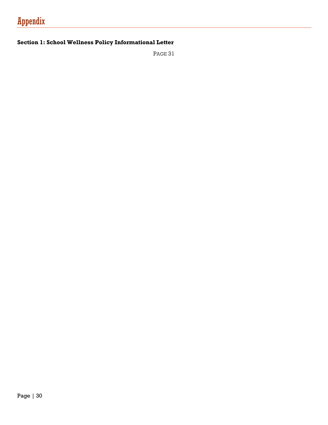### **Section 1: School Wellness Policy Informational Letter**

PAGE 31